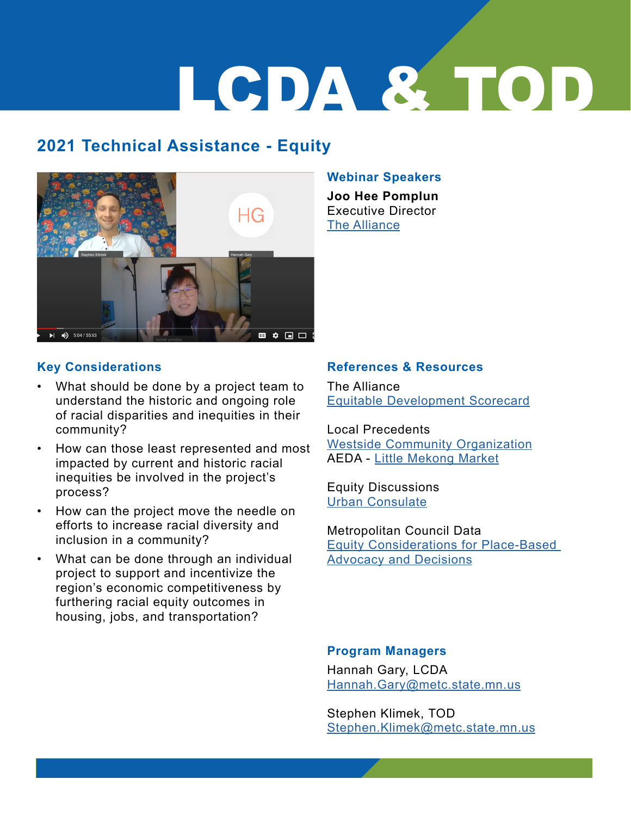# LCDA & TOD

# **2021 Technical Assistance - Equity**



#### **[W](https://www.youtube.com/watch?v=nEOD3BLM5C4)ebinar Speakers**

**Joo Hee Pomplun** Executive Director [The Alliance](http://The Alliance )

### **Key Considerations**

- What should be done by a project team to understand the historic and ongoing role of racial disparities and inequities in their community?
- How can those least represented and most impacted by current and historic racial inequities be involved in the project's process?
- How can the project move the needle on efforts to increase racial diversity and inclusion in a community?
- What can be done through an individual project to support and incentivize the region's economic competitiveness by furthering racial equity outcomes in housing, jobs, and transportation?

### **References & Resources**

The Alliance Equitable Development Scorecard

Local Precedents [Westside Community Organization](https://www.wsco.org/orientation) AEDA - Little Mekong Market

Equity Discussions [Urban Consulate](http://www.urbanconsulate.com/)

Metropolitan Council Data [Equity Considerations for Place-Based](https://gisdata.mn.gov/dataset/us-mn-state-metc-society-equity-considerations)  [Advocacy and Decisions](https://gisdata.mn.gov/dataset/us-mn-state-metc-society-equity-considerations)

#### **Program Managers**

Hannah Gary, LCDA [Hannah.Gary@metc.state.mn.us](mailto:Hannah.Gary%40metc.state.mn.us%20?subject=)

Stephen Klimek, TOD [Stephen.Klimek@metc.state.mn.us](mailto:Stephen.Klimek%40metc.state.mn.us?subject=)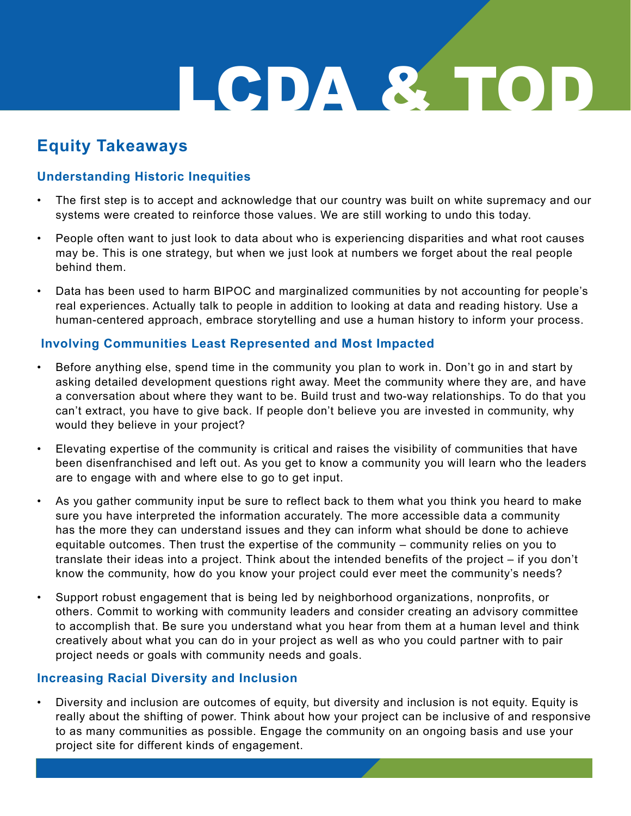# LCDA & TOD

# **Equity Takeaways**

## **Understanding Historic Inequities**

- The first step is to accept and acknowledge that our country was built on white supremacy and our systems were created to reinforce those values. We are still working to undo this today.
- People often want to just look to data about who is experiencing disparities and what root causes may be. This is one strategy, but when we just look at numbers we forget about the real people behind them.
- Data has been used to harm BIPOC and marginalized communities by not accounting for people's real experiences. Actually talk to people in addition to looking at data and reading history. Use a human-centered approach, embrace storytelling and use a human history to inform your process.

## **Involving Communities Least Represented and Most Impacted**

- Before anything else, spend time in the community you plan to work in. Don't go in and start by asking detailed development questions right away. Meet the community where they are, and have a conversation about where they want to be. Build trust and two-way relationships. To do that you can't extract, you have to give back. If people don't believe you are invested in community, why would they believe in your project?
- Elevating expertise of the community is critical and raises the visibility of communities that have been disenfranchised and left out. As you get to know a community you will learn who the leaders are to engage with and where else to go to get input.
- As you gather community input be sure to reflect back to them what you think you heard to make sure you have interpreted the information accurately. The more accessible data a community has the more they can understand issues and they can inform what should be done to achieve equitable outcomes. Then trust the expertise of the community – community relies on you to translate their ideas into a project. Think about the intended benefits of the project – if you don't know the community, how do you know your project could ever meet the community's needs?
- Support robust engagement that is being led by neighborhood organizations, nonprofits, or others. Commit to working with community leaders and consider creating an advisory committee to accomplish that. Be sure you understand what you hear from them at a human level and think creatively about what you can do in your project as well as who you could partner with to pair project needs or goals with community needs and goals.

## **Increasing Racial Diversity and Inclusion**

• Diversity and inclusion are outcomes of equity, but diversity and inclusion is not equity. Equity is really about the shifting of power. Think about how your project can be inclusive of and responsive to as many communities as possible. Engage the community on an ongoing basis and use your project site for different kinds of engagement.